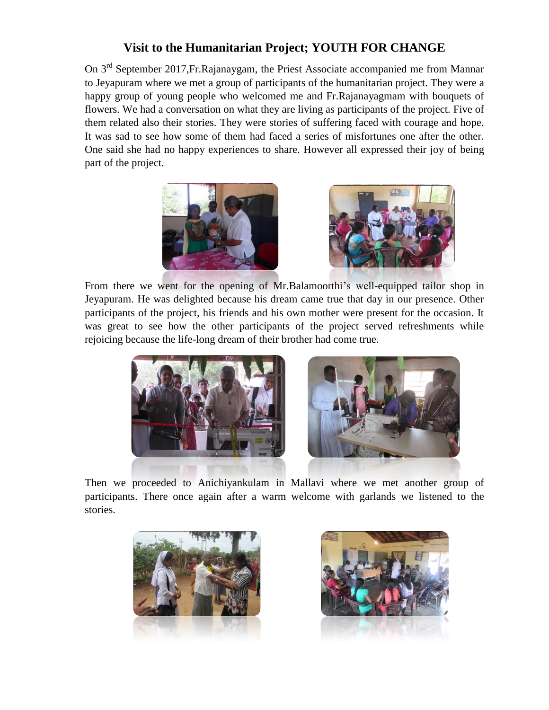## **Visit to the Humanitarian Project; YOUTH FOR CHANGE**

On 3rd September 2017,Fr.Rajanaygam, the Priest Associate accompanied me from Mannar to Jeyapuram where we met a group of participants of the humanitarian project. They were a happy group of young people who welcomed me and Fr.Rajanayagmam with bouquets of flowers. We had a conversation on what they are living as participants of the project. Five of them related also their stories. They were stories of suffering faced with courage and hope. It was sad to see how some of them had faced a series of misfortunes one after the other. One said she had no happy experiences to share. However all expressed their joy of being part of the project.





From there we went for the opening of Mr.Balamoorthi's well-equipped tailor shop in Jeyapuram. He was delighted because his dream came true that day in our presence. Other participants of the project, his friends and his own mother were present for the occasion. It was great to see how the other participants of the project served refreshments while rejoicing because the life-long dream of their brother had come true.





Then we proceeded to Anichiyankulam in Mallavi where we met another group of participants. There once again after a warm welcome with garlands we listened to the stories.



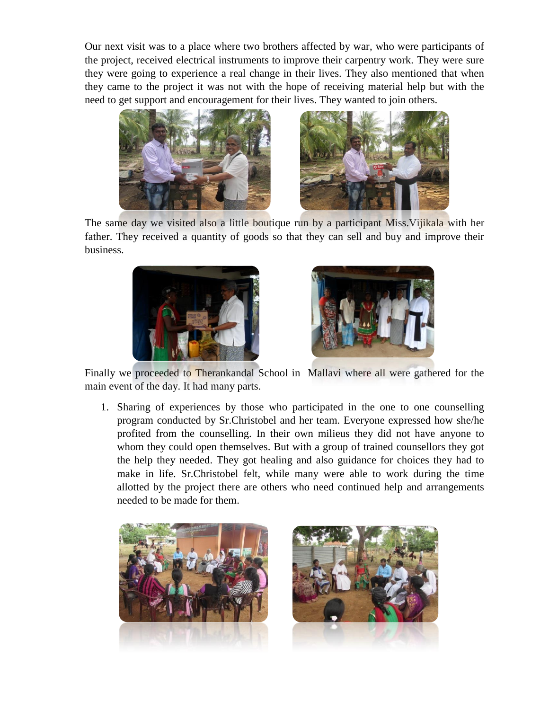Our next visit was to a place where two brothers affected by war, who were participants of the project, received electrical instruments to improve their carpentry work. They were sure they were going to experience a real change in their lives. They also mentioned that when they came to the project it was not with the hope of receiving material help but with the need to get support and encouragement for their lives. They wanted to join others.





The same day we visited also a little boutique run by a participant Miss. Vijikala with her father. They received a quantity of goods so that they can sell and buy and improve their business.





Finally we proceeded to Therankandal School in Mallavi where all were gathered for the main event of the day. It had many parts.

1. Sharing of experiences by those who participated in the one to one counselling program conducted by Sr.Christobel and her team. Everyone expressed how she/he profited from the counselling. In their own milieus they did not have anyone to whom they could open themselves. But with a group of trained counsellors they got the help they needed. They got healing and also guidance for choices they had to make in life. Sr.Christobel felt, while many were able to work during the time allotted by the project there are others who need continued help and arrangements needed to be made for them.



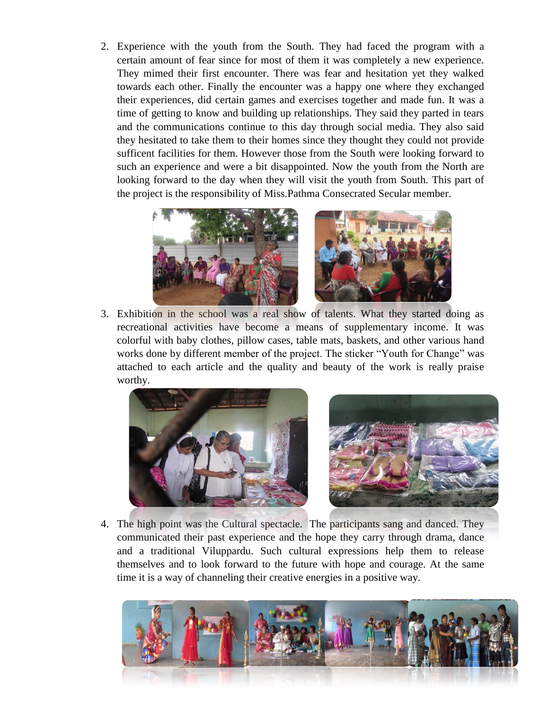2. Experience with the youth from the South. They had faced the program with a certain amount of fear since for most of them it was completely a new experience. They mimed their first encounter. There was fear and hesitation yet they walked towards each other. Finally the encounter was a happy one where they exchanged their experiences, did certain games and exercises together and made fun. It was a time of getting to know and building up relationships. They said they parted in tears and the communications continue to this day through social media. They also said they hesitated to take them to their homes since they thought they could not provide sufficent facilities for them. However those from the South were looking forward to such an experience and were a bit disappointed. Now the youth from the North are looking forward to the day when they will visit the youth from South. This part of the project is the responsibility of Miss.Pathma Consecrated Secular member.



3. Exhibition in the school was a real show of talents. What they started doing as recreational activities have become a means of supplementary income. It was colorful with baby clothes, pillow cases, table mats, baskets, and other various hand works done by different member of the project. The sticker "Youth for Change" was attached to each article and the quality and beauty of the work is really praise worthy.





4. The high point was the Cultural spectacle. The participants sang and danced. They communicated their past experience and the hope they carry through drama, dance and a traditional Viluppardu. Such cultural expressions help them to release themselves and to look forward to the future with hope and courage. At the same time it is a way of channeling their creative energies in a positive way.